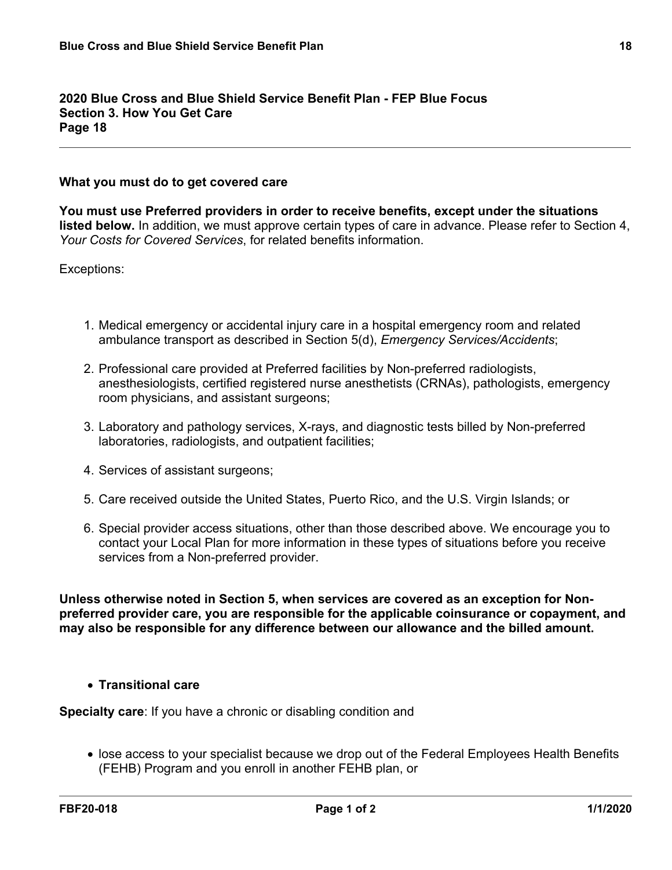**2020 Blue Cross and Blue Shield Service Benefit Plan - FEP Blue Focus Section 3. How You Get Care Page 18**

## **What you must do to get covered care**

**You must use Preferred providers in order to receive benefits, except under the situations listed below.** In addition, we must approve certain types of care in advance. Please refer to Section 4, *Your Costs for Covered Services*, for related benefits information.

Exceptions:

- 1. Medical emergency or accidental injury care in a hospital emergency room and related ambulance transport as described in Section 5(d), *Emergency Services/Accidents*;
- 2. Professional care provided at Preferred facilities by Non-preferred radiologists, anesthesiologists, certified registered nurse anesthetists (CRNAs), pathologists, emergency room physicians, and assistant surgeons;
- 3. Laboratory and pathology services, X-rays, and diagnostic tests billed by Non-preferred laboratories, radiologists, and outpatient facilities;
- 4. Services of assistant surgeons;
- 5. Care received outside the United States, Puerto Rico, and the U.S. Virgin Islands; or
- 6. Special provider access situations, other than those described above. We encourage you to contact your Local Plan for more information in these types of situations before you receive services from a Non-preferred provider.

**Unless otherwise noted in Section 5, when services are covered as an exception for Nonpreferred provider care, you are responsible for the applicable coinsurance or copayment, and may also be responsible for any difference between our allowance and the billed amount.**

## **Transitional care**

**Specialty care**: If you have a chronic or disabling condition and

 lose access to your specialist because we drop out of the Federal Employees Health Benefits (FEHB) Program and you enroll in another FEHB plan, or